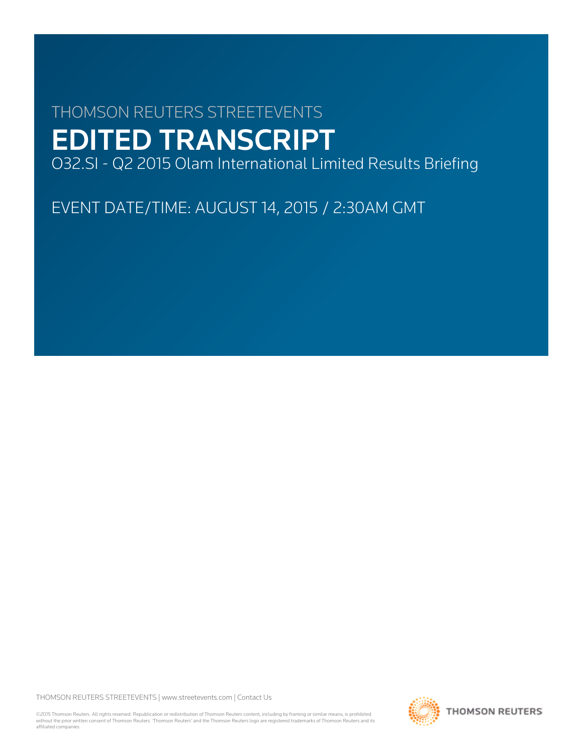# THOMSON REUTERS STREETEVENTS EDITED TRANSCRIPT

O32.SI - Q2 2015 Olam International Limited Results Briefing

EVENT DATE/TIME: AUGUST 14, 2015 / 2:30AM GMT

THOMSON REUTERS STREETEVENTS | [www.streetevents.com](http://www.streetevents.com) | [Contact Us](http://www010.streetevents.com/contact.asp)

©2015 Thomson Reuters. All rights reserved. Republication or redistribution of Thomson Reuters content, including by framing or similar means, is prohibited without the prior written consent of Thomson Reuters. 'Thomson Reuters' and the Thomson Reuters logo are registered trademarks of Thomson Reuters and its affiliated companies.

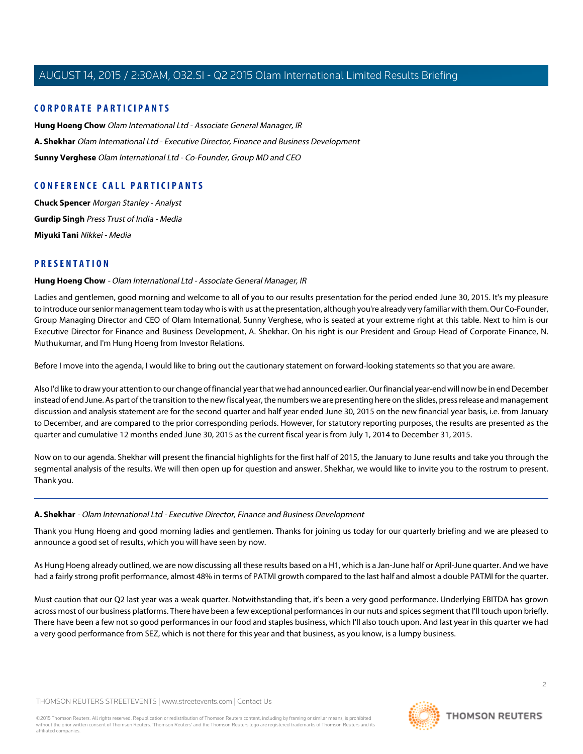# **CORPORATE PARTICIPANTS**

**[Hung Hoeng Chow](#page-1-0)** Olam International Ltd - Associate General Manager, IR **[A. Shekhar](#page-1-1)** Olam International Ltd - Executive Director, Finance and Business Development **[Sunny Verghese](#page-7-0)** Olam International Ltd - Co-Founder, Group MD and CEO

# **CONFERENCE CALL PARTICIPANTS**

**[Chuck Spencer](#page-7-1)** Morgan Stanley - Analyst **[Gurdip Singh](#page-9-0)** Press Trust of India - Media **[Miyuki Tani](#page-11-0)** Nikkei - Media

# <span id="page-1-0"></span>**PRESENTATION**

#### **Hung Hoeng Chow** - Olam International Ltd - Associate General Manager, IR

Ladies and gentlemen, good morning and welcome to all of you to our results presentation for the period ended June 30, 2015. It's my pleasure to introduce our senior management team today who is with us at the presentation, although you're already very familiar with them. Our Co-Founder, Group Managing Director and CEO of Olam International, Sunny Verghese, who is seated at your extreme right at this table. Next to him is our Executive Director for Finance and Business Development, A. Shekhar. On his right is our President and Group Head of Corporate Finance, N. Muthukumar, and I'm Hung Hoeng from Investor Relations.

Before I move into the agenda, I would like to bring out the cautionary statement on forward-looking statements so that you are aware.

Also I'd like to draw your attention to our change of financial year that we had announced earlier. Our financial year-end will now be in end December instead of end June. As part of the transition to the new fiscal year, the numbers we are presenting here on the slides, press release and management discussion and analysis statement are for the second quarter and half year ended June 30, 2015 on the new financial year basis, i.e. from January to December, and are compared to the prior corresponding periods. However, for statutory reporting purposes, the results are presented as the quarter and cumulative 12 months ended June 30, 2015 as the current fiscal year is from July 1, 2014 to December 31, 2015.

<span id="page-1-1"></span>Now on to our agenda. Shekhar will present the financial highlights for the first half of 2015, the January to June results and take you through the segmental analysis of the results. We will then open up for question and answer. Shekhar, we would like to invite you to the rostrum to present. Thank you.

#### **A. Shekhar** - Olam International Ltd - Executive Director, Finance and Business Development

Thank you Hung Hoeng and good morning ladies and gentlemen. Thanks for joining us today for our quarterly briefing and we are pleased to announce a good set of results, which you will have seen by now.

As Hung Hoeng already outlined, we are now discussing all these results based on a H1, which is a Jan-June half or April-June quarter. And we have had a fairly strong profit performance, almost 48% in terms of PATMI growth compared to the last half and almost a double PATMI for the quarter.

Must caution that our Q2 last year was a weak quarter. Notwithstanding that, it's been a very good performance. Underlying EBITDA has grown across most of our business platforms. There have been a few exceptional performances in our nuts and spices segment that I'll touch upon briefly. There have been a few not so good performances in our food and staples business, which I'll also touch upon. And last year in this quarter we had a very good performance from SEZ, which is not there for this year and that business, as you know, is a lumpy business.

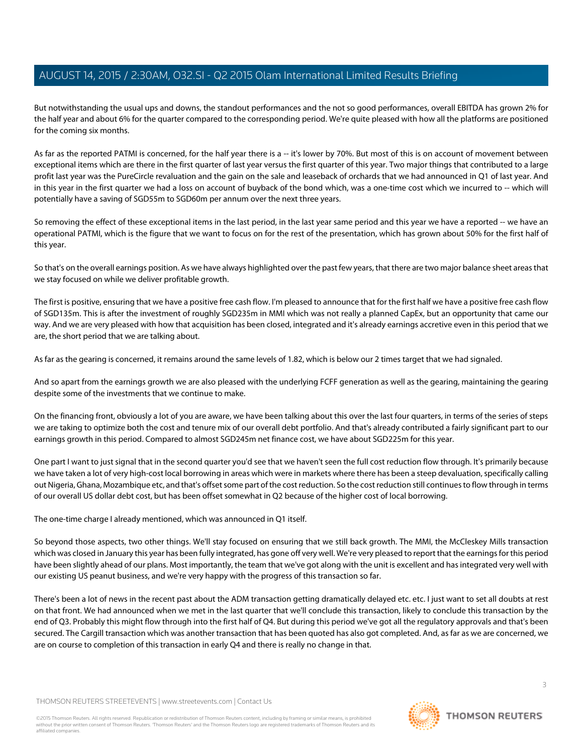But notwithstanding the usual ups and downs, the standout performances and the not so good performances, overall EBITDA has grown 2% for the half year and about 6% for the quarter compared to the corresponding period. We're quite pleased with how all the platforms are positioned for the coming six months.

As far as the reported PATMI is concerned, for the half year there is a -- it's lower by 70%. But most of this is on account of movement between exceptional items which are there in the first quarter of last year versus the first quarter of this year. Two major things that contributed to a large profit last year was the PureCircle revaluation and the gain on the sale and leaseback of orchards that we had announced in Q1 of last year. And in this year in the first quarter we had a loss on account of buyback of the bond which, was a one-time cost which we incurred to -- which will potentially have a saving of SGD55m to SGD60m per annum over the next three years.

So removing the effect of these exceptional items in the last period, in the last year same period and this year we have a reported -- we have an operational PATMI, which is the figure that we want to focus on for the rest of the presentation, which has grown about 50% for the first half of this year.

So that's on the overall earnings position. As we have always highlighted over the past few years, that there are two major balance sheet areas that we stay focused on while we deliver profitable growth.

The first is positive, ensuring that we have a positive free cash flow. I'm pleased to announce that for the first half we have a positive free cash flow of SGD135m. This is after the investment of roughly SGD235m in MMI which was not really a planned CapEx, but an opportunity that came our way. And we are very pleased with how that acquisition has been closed, integrated and it's already earnings accretive even in this period that we are, the short period that we are talking about.

As far as the gearing is concerned, it remains around the same levels of 1.82, which is below our 2 times target that we had signaled.

And so apart from the earnings growth we are also pleased with the underlying FCFF generation as well as the gearing, maintaining the gearing despite some of the investments that we continue to make.

On the financing front, obviously a lot of you are aware, we have been talking about this over the last four quarters, in terms of the series of steps we are taking to optimize both the cost and tenure mix of our overall debt portfolio. And that's already contributed a fairly significant part to our earnings growth in this period. Compared to almost SGD245m net finance cost, we have about SGD225m for this year.

One part I want to just signal that in the second quarter you'd see that we haven't seen the full cost reduction flow through. It's primarily because we have taken a lot of very high-cost local borrowing in areas which were in markets where there has been a steep devaluation, specifically calling out Nigeria, Ghana, Mozambique etc, and that's offset some part of the cost reduction. So the cost reduction still continues to flow through in terms of our overall US dollar debt cost, but has been offset somewhat in Q2 because of the higher cost of local borrowing.

The one-time charge I already mentioned, which was announced in Q1 itself.

So beyond those aspects, two other things. We'll stay focused on ensuring that we still back growth. The MMI, the McCleskey Mills transaction which was closed in January this year has been fully integrated, has gone off very well. We're very pleased to report that the earnings for this period have been slightly ahead of our plans. Most importantly, the team that we've got along with the unit is excellent and has integrated very well with our existing US peanut business, and we're very happy with the progress of this transaction so far.

There's been a lot of news in the recent past about the ADM transaction getting dramatically delayed etc. etc. I just want to set all doubts at rest on that front. We had announced when we met in the last quarter that we'll conclude this transaction, likely to conclude this transaction by the end of Q3. Probably this might flow through into the first half of Q4. But during this period we've got all the regulatory approvals and that's been secured. The Cargill transaction which was another transaction that has been quoted has also got completed. And, as far as we are concerned, we are on course to completion of this transaction in early Q4 and there is really no change in that.

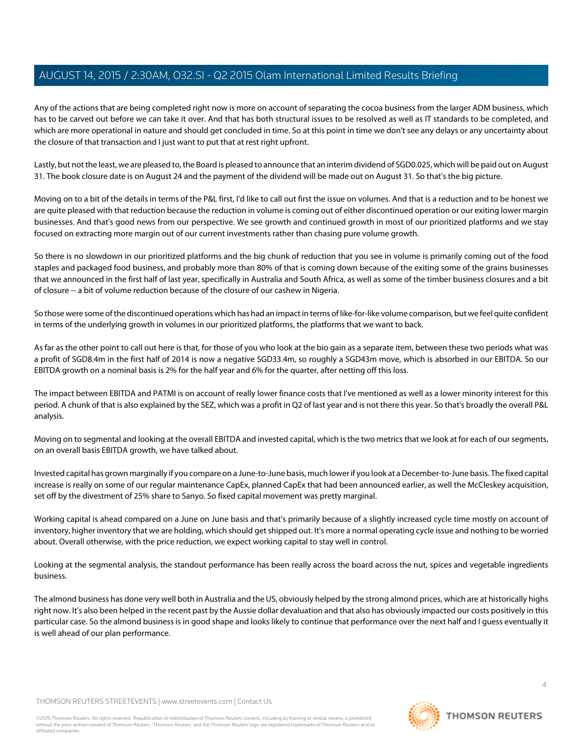Any of the actions that are being completed right now is more on account of separating the cocoa business from the larger ADM business, which has to be carved out before we can take it over. And that has both structural issues to be resolved as well as IT standards to be completed, and which are more operational in nature and should get concluded in time. So at this point in time we don't see any delays or any uncertainty about the closure of that transaction and I just want to put that at rest right upfront.

Lastly, but not the least, we are pleased to, the Board is pleased to announce that an interim dividend of SGD0.025, which will be paid out on August 31. The book closure date is on August 24 and the payment of the dividend will be made out on August 31. So that's the big picture.

Moving on to a bit of the details in terms of the P&L first, I'd like to call out first the issue on volumes. And that is a reduction and to be honest we are quite pleased with that reduction because the reduction in volume is coming out of either discontinued operation or our exiting lower margin businesses. And that's good news from our perspective. We see growth and continued growth in most of our prioritized platforms and we stay focused on extracting more margin out of our current investments rather than chasing pure volume growth.

So there is no slowdown in our prioritized platforms and the big chunk of reduction that you see in volume is primarily coming out of the food staples and packaged food business, and probably more than 80% of that is coming down because of the exiting some of the grains businesses that we announced in the first half of last year, specifically in Australia and South Africa, as well as some of the timber business closures and a bit of closure -- a bit of volume reduction because of the closure of our cashew in Nigeria.

So those were some of the discontinued operations which has had an impact in terms of like-for-like volume comparison, but we feel quite confident in terms of the underlying growth in volumes in our prioritized platforms, the platforms that we want to back.

As far as the other point to call out here is that, for those of you who look at the bio gain as a separate item, between these two periods what was a profit of SGD8.4m in the first half of 2014 is now a negative SGD33.4m, so roughly a SGD43m move, which is absorbed in our EBITDA. So our EBITDA growth on a nominal basis is 2% for the half year and 6% for the quarter, after netting off this loss.

The impact between EBITDA and PATMI is on account of really lower finance costs that I've mentioned as well as a lower minority interest for this period. A chunk of that is also explained by the SEZ, which was a profit in Q2 of last year and is not there this year. So that's broadly the overall P&L analysis.

Moving on to segmental and looking at the overall EBITDA and invested capital, which is the two metrics that we look at for each of our segments, on an overall basis EBITDA growth, we have talked about.

Invested capital has grown marginally if you compare on a June-to-June basis, much lower if you look at a December-to-June basis. The fixed capital increase is really on some of our regular maintenance CapEx, planned CapEx that had been announced earlier, as well the McCleskey acquisition, set off by the divestment of 25% share to Sanyo. So fixed capital movement was pretty marginal.

Working capital is ahead compared on a June on June basis and that's primarily because of a slightly increased cycle time mostly on account of inventory, higher inventory that we are holding, which should get shipped out. It's more a normal operating cycle issue and nothing to be worried about. Overall otherwise, with the price reduction, we expect working capital to stay well in control.

Looking at the segmental analysis, the standout performance has been really across the board across the nut, spices and vegetable ingredients business.

The almond business has done very well both in Australia and the US, obviously helped by the strong almond prices, which are at historically highs right now. It's also been helped in the recent past by the Aussie dollar devaluation and that also has obviously impacted our costs positively in this particular case. So the almond business is in good shape and looks likely to continue that performance over the next half and I guess eventually it is well ahead of our plan performance.

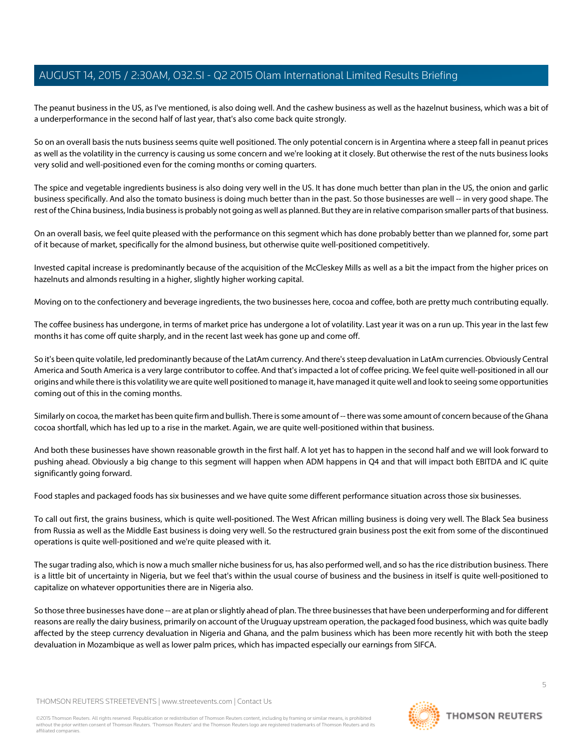The peanut business in the US, as I've mentioned, is also doing well. And the cashew business as well as the hazelnut business, which was a bit of a underperformance in the second half of last year, that's also come back quite strongly.

So on an overall basis the nuts business seems quite well positioned. The only potential concern is in Argentina where a steep fall in peanut prices as well as the volatility in the currency is causing us some concern and we're looking at it closely. But otherwise the rest of the nuts business looks very solid and well-positioned even for the coming months or coming quarters.

The spice and vegetable ingredients business is also doing very well in the US. It has done much better than plan in the US, the onion and garlic business specifically. And also the tomato business is doing much better than in the past. So those businesses are well -- in very good shape. The rest of the China business, India business is probably not going as well as planned. But they are in relative comparison smaller parts of that business.

On an overall basis, we feel quite pleased with the performance on this segment which has done probably better than we planned for, some part of it because of market, specifically for the almond business, but otherwise quite well-positioned competitively.

Invested capital increase is predominantly because of the acquisition of the McCleskey Mills as well as a bit the impact from the higher prices on hazelnuts and almonds resulting in a higher, slightly higher working capital.

Moving on to the confectionery and beverage ingredients, the two businesses here, cocoa and coffee, both are pretty much contributing equally.

The coffee business has undergone, in terms of market price has undergone a lot of volatility. Last year it was on a run up. This year in the last few months it has come off quite sharply, and in the recent last week has gone up and come off.

So it's been quite volatile, led predominantly because of the LatAm currency. And there's steep devaluation in LatAm currencies. Obviously Central America and South America is a very large contributor to coffee. And that's impacted a lot of coffee pricing. We feel quite well-positioned in all our origins and while there is this volatility we are quite well positioned to manage it, have managed it quite well and look to seeing some opportunities coming out of this in the coming months.

Similarly on cocoa, the market has been quite firm and bullish. There is some amount of -- there was some amount of concern because of the Ghana cocoa shortfall, which has led up to a rise in the market. Again, we are quite well-positioned within that business.

And both these businesses have shown reasonable growth in the first half. A lot yet has to happen in the second half and we will look forward to pushing ahead. Obviously a big change to this segment will happen when ADM happens in Q4 and that will impact both EBITDA and IC quite significantly going forward.

Food staples and packaged foods has six businesses and we have quite some different performance situation across those six businesses.

To call out first, the grains business, which is quite well-positioned. The West African milling business is doing very well. The Black Sea business from Russia as well as the Middle East business is doing very well. So the restructured grain business post the exit from some of the discontinued operations is quite well-positioned and we're quite pleased with it.

The sugar trading also, which is now a much smaller niche business for us, has also performed well, and so has the rice distribution business. There is a little bit of uncertainty in Nigeria, but we feel that's within the usual course of business and the business in itself is quite well-positioned to capitalize on whatever opportunities there are in Nigeria also.

So those three businesses have done -- are at plan or slightly ahead of plan. The three businesses that have been underperforming and for different reasons are really the dairy business, primarily on account of the Uruguay upstream operation, the packaged food business, which was quite badly affected by the steep currency devaluation in Nigeria and Ghana, and the palm business which has been more recently hit with both the steep devaluation in Mozambique as well as lower palm prices, which has impacted especially our earnings from SIFCA.

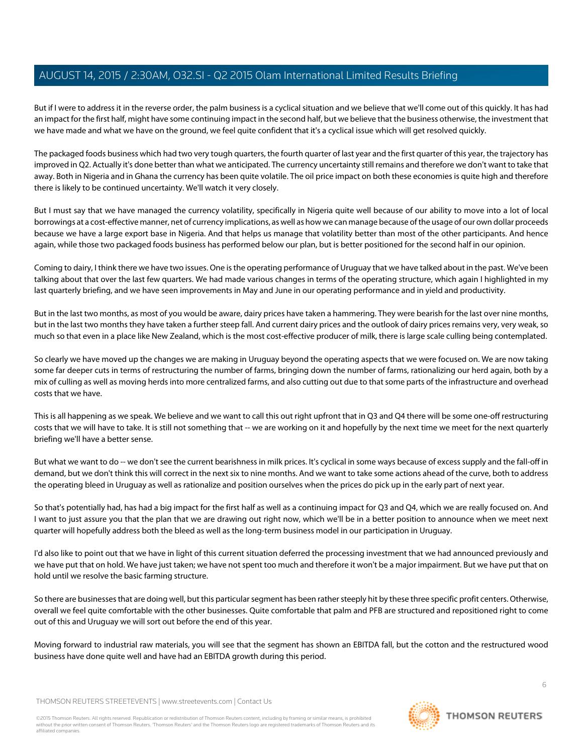But if I were to address it in the reverse order, the palm business is a cyclical situation and we believe that we'll come out of this quickly. It has had an impact for the first half, might have some continuing impact in the second half, but we believe that the business otherwise, the investment that we have made and what we have on the ground, we feel quite confident that it's a cyclical issue which will get resolved quickly.

The packaged foods business which had two very tough quarters, the fourth quarter of last year and the first quarter of this year, the trajectory has improved in Q2. Actually it's done better than what we anticipated. The currency uncertainty still remains and therefore we don't want to take that away. Both in Nigeria and in Ghana the currency has been quite volatile. The oil price impact on both these economies is quite high and therefore there is likely to be continued uncertainty. We'll watch it very closely.

But I must say that we have managed the currency volatility, specifically in Nigeria quite well because of our ability to move into a lot of local borrowings at a cost-effective manner, net of currency implications, as well as how we can manage because of the usage of our own dollar proceeds because we have a large export base in Nigeria. And that helps us manage that volatility better than most of the other participants. And hence again, while those two packaged foods business has performed below our plan, but is better positioned for the second half in our opinion.

Coming to dairy, I think there we have two issues. One is the operating performance of Uruguay that we have talked about in the past. We've been talking about that over the last few quarters. We had made various changes in terms of the operating structure, which again I highlighted in my last quarterly briefing, and we have seen improvements in May and June in our operating performance and in yield and productivity.

But in the last two months, as most of you would be aware, dairy prices have taken a hammering. They were bearish for the last over nine months, but in the last two months they have taken a further steep fall. And current dairy prices and the outlook of dairy prices remains very, very weak, so much so that even in a place like New Zealand, which is the most cost-effective producer of milk, there is large scale culling being contemplated.

So clearly we have moved up the changes we are making in Uruguay beyond the operating aspects that we were focused on. We are now taking some far deeper cuts in terms of restructuring the number of farms, bringing down the number of farms, rationalizing our herd again, both by a mix of culling as well as moving herds into more centralized farms, and also cutting out due to that some parts of the infrastructure and overhead costs that we have.

This is all happening as we speak. We believe and we want to call this out right upfront that in Q3 and Q4 there will be some one-off restructuring costs that we will have to take. It is still not something that -- we are working on it and hopefully by the next time we meet for the next quarterly briefing we'll have a better sense.

But what we want to do -- we don't see the current bearishness in milk prices. It's cyclical in some ways because of excess supply and the fall-off in demand, but we don't think this will correct in the next six to nine months. And we want to take some actions ahead of the curve, both to address the operating bleed in Uruguay as well as rationalize and position ourselves when the prices do pick up in the early part of next year.

So that's potentially had, has had a big impact for the first half as well as a continuing impact for Q3 and Q4, which we are really focused on. And I want to just assure you that the plan that we are drawing out right now, which we'll be in a better position to announce when we meet next quarter will hopefully address both the bleed as well as the long-term business model in our participation in Uruguay.

I'd also like to point out that we have in light of this current situation deferred the processing investment that we had announced previously and we have put that on hold. We have just taken; we have not spent too much and therefore it won't be a major impairment. But we have put that on hold until we resolve the basic farming structure.

So there are businesses that are doing well, but this particular segment has been rather steeply hit by these three specific profit centers. Otherwise, overall we feel quite comfortable with the other businesses. Quite comfortable that palm and PFB are structured and repositioned right to come out of this and Uruguay we will sort out before the end of this year.

Moving forward to industrial raw materials, you will see that the segment has shown an EBITDA fall, but the cotton and the restructured wood business have done quite well and have had an EBITDA growth during this period.

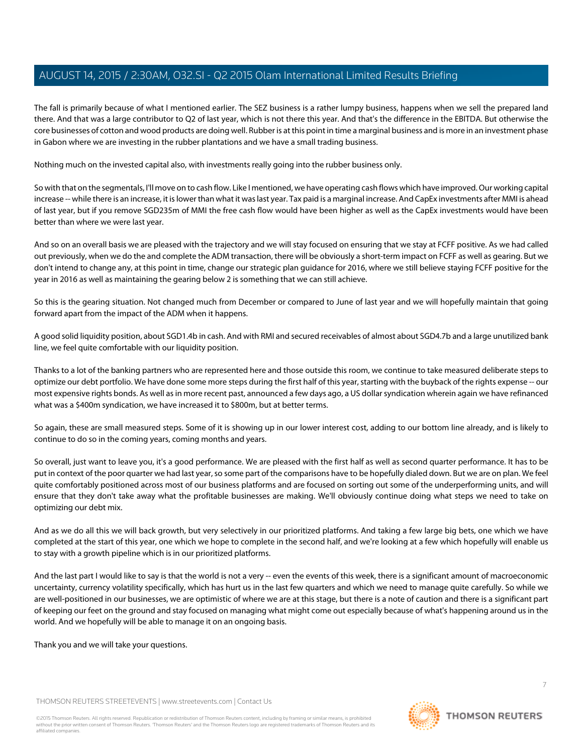The fall is primarily because of what I mentioned earlier. The SEZ business is a rather lumpy business, happens when we sell the prepared land there. And that was a large contributor to Q2 of last year, which is not there this year. And that's the difference in the EBITDA. But otherwise the core businesses of cotton and wood products are doing well. Rubber is at this point in time a marginal business and is more in an investment phase in Gabon where we are investing in the rubber plantations and we have a small trading business.

Nothing much on the invested capital also, with investments really going into the rubber business only.

So with that on the segmentals, I'll move on to cash flow. Like I mentioned, we have operating cash flows which have improved. Our working capital increase -- while there is an increase, it is lower than what it was last year. Tax paid is a marginal increase. And CapEx investments after MMI is ahead of last year, but if you remove SGD235m of MMI the free cash flow would have been higher as well as the CapEx investments would have been better than where we were last year.

And so on an overall basis we are pleased with the trajectory and we will stay focused on ensuring that we stay at FCFF positive. As we had called out previously, when we do the and complete the ADM transaction, there will be obviously a short-term impact on FCFF as well as gearing. But we don't intend to change any, at this point in time, change our strategic plan guidance for 2016, where we still believe staying FCFF positive for the year in 2016 as well as maintaining the gearing below 2 is something that we can still achieve.

So this is the gearing situation. Not changed much from December or compared to June of last year and we will hopefully maintain that going forward apart from the impact of the ADM when it happens.

A good solid liquidity position, about SGD1.4b in cash. And with RMI and secured receivables of almost about SGD4.7b and a large unutilized bank line, we feel quite comfortable with our liquidity position.

Thanks to a lot of the banking partners who are represented here and those outside this room, we continue to take measured deliberate steps to optimize our debt portfolio. We have done some more steps during the first half of this year, starting with the buyback of the rights expense -- our most expensive rights bonds. As well as in more recent past, announced a few days ago, a US dollar syndication wherein again we have refinanced what was a \$400m syndication, we have increased it to \$800m, but at better terms.

So again, these are small measured steps. Some of it is showing up in our lower interest cost, adding to our bottom line already, and is likely to continue to do so in the coming years, coming months and years.

So overall, just want to leave you, it's a good performance. We are pleased with the first half as well as second quarter performance. It has to be put in context of the poor quarter we had last year, so some part of the comparisons have to be hopefully dialed down. But we are on plan. We feel quite comfortably positioned across most of our business platforms and are focused on sorting out some of the underperforming units, and will ensure that they don't take away what the profitable businesses are making. We'll obviously continue doing what steps we need to take on optimizing our debt mix.

And as we do all this we will back growth, but very selectively in our prioritized platforms. And taking a few large big bets, one which we have completed at the start of this year, one which we hope to complete in the second half, and we're looking at a few which hopefully will enable us to stay with a growth pipeline which is in our prioritized platforms.

And the last part I would like to say is that the world is not a very -- even the events of this week, there is a significant amount of macroeconomic uncertainty, currency volatility specifically, which has hurt us in the last few quarters and which we need to manage quite carefully. So while we are well-positioned in our businesses, we are optimistic of where we are at this stage, but there is a note of caution and there is a significant part of keeping our feet on the ground and stay focused on managing what might come out especially because of what's happening around us in the world. And we hopefully will be able to manage it on an ongoing basis.

Thank you and we will take your questions.

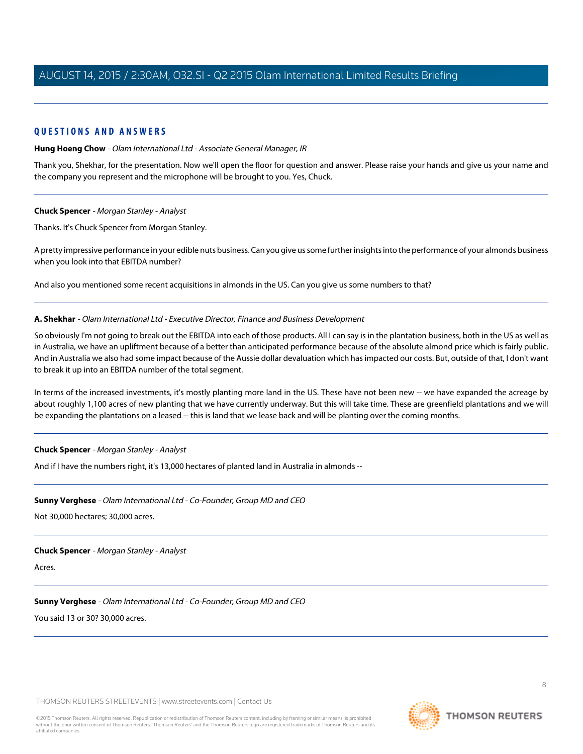# **QUESTIONS AND ANSWERS**

#### **Hung Hoeng Chow** - Olam International Ltd - Associate General Manager, IR

Thank you, Shekhar, for the presentation. Now we'll open the floor for question and answer. Please raise your hands and give us your name and the company you represent and the microphone will be brought to you. Yes, Chuck.

#### <span id="page-7-1"></span>**Chuck Spencer** - Morgan Stanley - Analyst

Thanks. It's Chuck Spencer from Morgan Stanley.

A pretty impressive performance in your edible nuts business. Can you give us some further insights into the performance of your almonds business when you look into that EBITDA number?

And also you mentioned some recent acquisitions in almonds in the US. Can you give us some numbers to that?

#### **A. Shekhar** - Olam International Ltd - Executive Director, Finance and Business Development

So obviously I'm not going to break out the EBITDA into each of those products. All I can say is in the plantation business, both in the US as well as in Australia, we have an upliftment because of a better than anticipated performance because of the absolute almond price which is fairly public. And in Australia we also had some impact because of the Aussie dollar devaluation which has impacted our costs. But, outside of that, I don't want to break it up into an EBITDA number of the total segment.

In terms of the increased investments, it's mostly planting more land in the US. These have not been new -- we have expanded the acreage by about roughly 1,100 acres of new planting that we have currently underway. But this will take time. These are greenfield plantations and we will be expanding the plantations on a leased -- this is land that we lease back and will be planting over the coming months.

#### <span id="page-7-0"></span>**Chuck Spencer** - Morgan Stanley - Analyst

And if I have the numbers right, it's 13,000 hectares of planted land in Australia in almonds --

#### **Sunny Verghese** - Olam International Ltd - Co-Founder, Group MD and CEO

Not 30,000 hectares; 30,000 acres.

#### **Chuck Spencer** - Morgan Stanley - Analyst

Acres.

# **Sunny Verghese** - Olam International Ltd - Co-Founder, Group MD and CEO

You said 13 or 30? 30,000 acres.

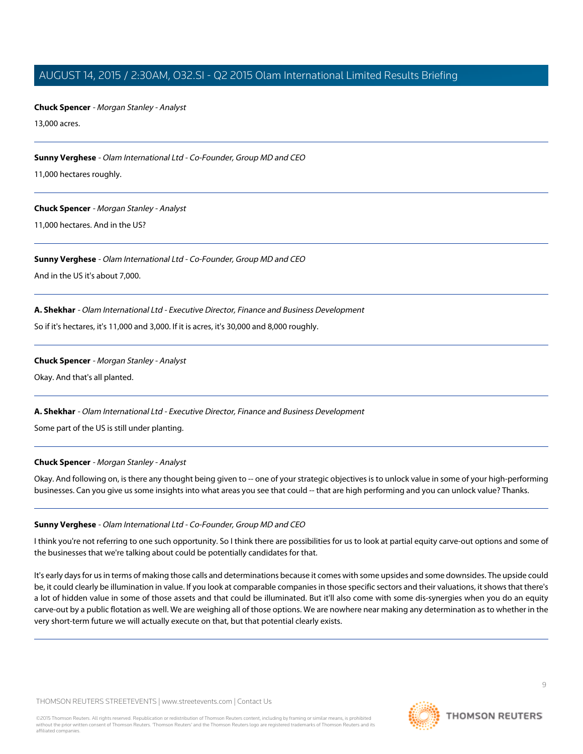**Chuck Spencer** - Morgan Stanley - Analyst

13,000 acres.

**Sunny Verghese** - Olam International Ltd - Co-Founder, Group MD and CEO

11,000 hectares roughly.

#### **Chuck Spencer** - Morgan Stanley - Analyst

11,000 hectares. And in the US?

# **Sunny Verghese** - Olam International Ltd - Co-Founder, Group MD and CEO

And in the US it's about 7,000.

# **A. Shekhar** - Olam International Ltd - Executive Director, Finance and Business Development

So if it's hectares, it's 11,000 and 3,000. If it is acres, it's 30,000 and 8,000 roughly.

#### **Chuck Spencer** - Morgan Stanley - Analyst

Okay. And that's all planted.

# **A. Shekhar** - Olam International Ltd - Executive Director, Finance and Business Development

Some part of the US is still under planting.

# **Chuck Spencer** - Morgan Stanley - Analyst

Okay. And following on, is there any thought being given to -- one of your strategic objectives is to unlock value in some of your high-performing businesses. Can you give us some insights into what areas you see that could -- that are high performing and you can unlock value? Thanks.

# **Sunny Verghese** - Olam International Ltd - Co-Founder, Group MD and CEO

I think you're not referring to one such opportunity. So I think there are possibilities for us to look at partial equity carve-out options and some of the businesses that we're talking about could be potentially candidates for that.

It's early days for us in terms of making those calls and determinations because it comes with some upsides and some downsides. The upside could be, it could clearly be illumination in value. If you look at comparable companies in those specific sectors and their valuations, it shows that there's a lot of hidden value in some of those assets and that could be illuminated. But it'll also come with some dis-synergies when you do an equity carve-out by a public flotation as well. We are weighing all of those options. We are nowhere near making any determination as to whether in the very short-term future we will actually execute on that, but that potential clearly exists.

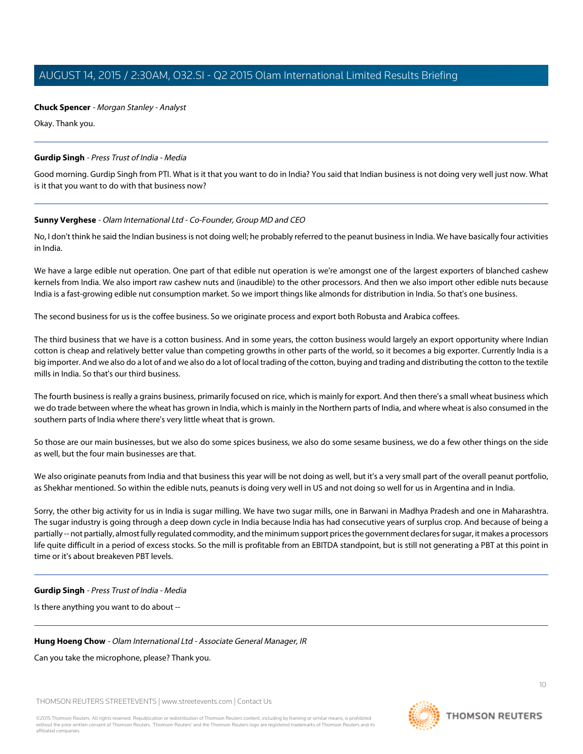# **Chuck Spencer** - Morgan Stanley - Analyst

Okay. Thank you.

# <span id="page-9-0"></span>**Gurdip Singh** - Press Trust of India - Media

Good morning. Gurdip Singh from PTI. What is it that you want to do in India? You said that Indian business is not doing very well just now. What is it that you want to do with that business now?

# **Sunny Verghese** - Olam International Ltd - Co-Founder, Group MD and CEO

No, I don't think he said the Indian business is not doing well; he probably referred to the peanut business in India. We have basically four activities in India.

We have a large edible nut operation. One part of that edible nut operation is we're amongst one of the largest exporters of blanched cashew kernels from India. We also import raw cashew nuts and (inaudible) to the other processors. And then we also import other edible nuts because India is a fast-growing edible nut consumption market. So we import things like almonds for distribution in India. So that's one business.

The second business for us is the coffee business. So we originate process and export both Robusta and Arabica coffees.

The third business that we have is a cotton business. And in some years, the cotton business would largely an export opportunity where Indian cotton is cheap and relatively better value than competing growths in other parts of the world, so it becomes a big exporter. Currently India is a big importer. And we also do a lot of and we also do a lot of local trading of the cotton, buying and trading and distributing the cotton to the textile mills in India. So that's our third business.

The fourth business is really a grains business, primarily focused on rice, which is mainly for export. And then there's a small wheat business which we do trade between where the wheat has grown in India, which is mainly in the Northern parts of India, and where wheat is also consumed in the southern parts of India where there's very little wheat that is grown.

So those are our main businesses, but we also do some spices business, we also do some sesame business, we do a few other things on the side as well, but the four main businesses are that.

We also originate peanuts from India and that business this year will be not doing as well, but it's a very small part of the overall peanut portfolio, as Shekhar mentioned. So within the edible nuts, peanuts is doing very well in US and not doing so well for us in Argentina and in India.

Sorry, the other big activity for us in India is sugar milling. We have two sugar mills, one in Barwani in Madhya Pradesh and one in Maharashtra. The sugar industry is going through a deep down cycle in India because India has had consecutive years of surplus crop. And because of being a partially -- not partially, almost fully regulated commodity, and the minimum support prices the government declares for sugar, it makes a processors life quite difficult in a period of excess stocks. So the mill is profitable from an EBITDA standpoint, but is still not generating a PBT at this point in time or it's about breakeven PBT levels.

# **Gurdip Singh** - Press Trust of India - Media

Is there anything you want to do about --

# **Hung Hoeng Chow** - Olam International Ltd - Associate General Manager, IR

# Can you take the microphone, please? Thank you.

THOMSON REUTERS STREETEVENTS | [www.streetevents.com](http://www.streetevents.com) | [Contact Us](http://www010.streetevents.com/contact.asp)

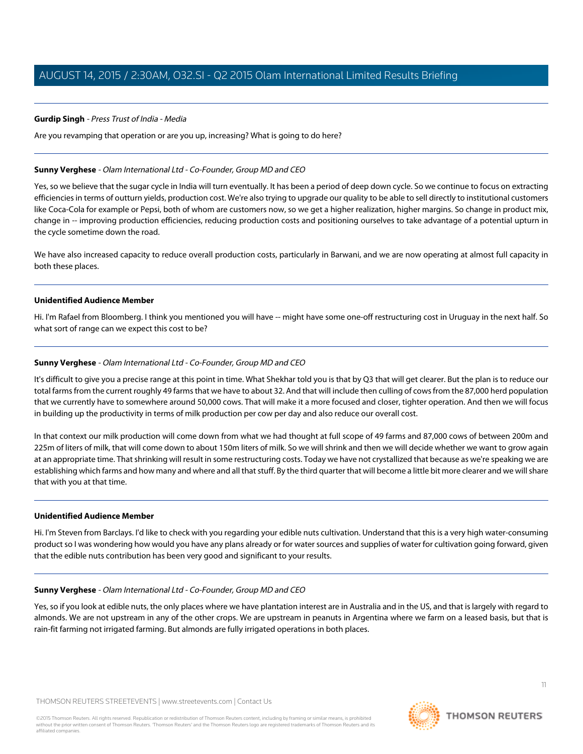#### **Gurdip Singh** - Press Trust of India - Media

Are you revamping that operation or are you up, increasing? What is going to do here?

#### **Sunny Verghese** - Olam International Ltd - Co-Founder, Group MD and CEO

Yes, so we believe that the sugar cycle in India will turn eventually. It has been a period of deep down cycle. So we continue to focus on extracting efficiencies in terms of outturn yields, production cost. We're also trying to upgrade our quality to be able to sell directly to institutional customers like Coca-Cola for example or Pepsi, both of whom are customers now, so we get a higher realization, higher margins. So change in product mix, change in -- improving production efficiencies, reducing production costs and positioning ourselves to take advantage of a potential upturn in the cycle sometime down the road.

We have also increased capacity to reduce overall production costs, particularly in Barwani, and we are now operating at almost full capacity in both these places.

#### **Unidentified Audience Member**

Hi. I'm Rafael from Bloomberg. I think you mentioned you will have -- might have some one-off restructuring cost in Uruguay in the next half. So what sort of range can we expect this cost to be?

#### **Sunny Verghese** - Olam International Ltd - Co-Founder, Group MD and CEO

It's difficult to give you a precise range at this point in time. What Shekhar told you is that by Q3 that will get clearer. But the plan is to reduce our total farms from the current roughly 49 farms that we have to about 32. And that will include then culling of cows from the 87,000 herd population that we currently have to somewhere around 50,000 cows. That will make it a more focused and closer, tighter operation. And then we will focus in building up the productivity in terms of milk production per cow per day and also reduce our overall cost.

In that context our milk production will come down from what we had thought at full scope of 49 farms and 87,000 cows of between 200m and 225m of liters of milk, that will come down to about 150m liters of milk. So we will shrink and then we will decide whether we want to grow again at an appropriate time. That shrinking will result in some restructuring costs. Today we have not crystallized that because as we're speaking we are establishing which farms and how many and where and all that stuff. By the third quarter that will become a little bit more clearer and we will share that with you at that time.

#### **Unidentified Audience Member**

Hi. I'm Steven from Barclays. I'd like to check with you regarding your edible nuts cultivation. Understand that this is a very high water-consuming product so I was wondering how would you have any plans already or for water sources and supplies of water for cultivation going forward, given that the edible nuts contribution has been very good and significant to your results.

#### **Sunny Verghese** - Olam International Ltd - Co-Founder, Group MD and CEO

Yes, so if you look at edible nuts, the only places where we have plantation interest are in Australia and in the US, and that is largely with regard to almonds. We are not upstream in any of the other crops. We are upstream in peanuts in Argentina where we farm on a leased basis, but that is rain-fit farming not irrigated farming. But almonds are fully irrigated operations in both places.

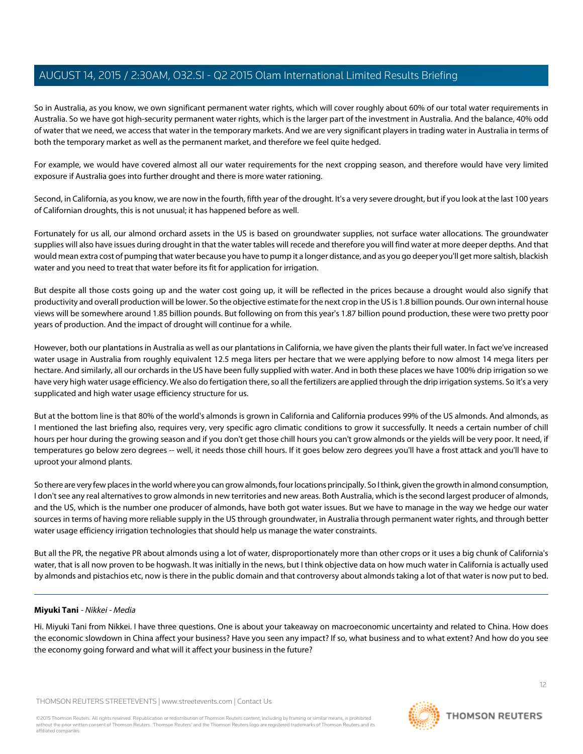So in Australia, as you know, we own significant permanent water rights, which will cover roughly about 60% of our total water requirements in Australia. So we have got high-security permanent water rights, which is the larger part of the investment in Australia. And the balance, 40% odd of water that we need, we access that water in the temporary markets. And we are very significant players in trading water in Australia in terms of both the temporary market as well as the permanent market, and therefore we feel quite hedged.

For example, we would have covered almost all our water requirements for the next cropping season, and therefore would have very limited exposure if Australia goes into further drought and there is more water rationing.

Second, in California, as you know, we are now in the fourth, fifth year of the drought. It's a very severe drought, but if you look at the last 100 years of Californian droughts, this is not unusual; it has happened before as well.

Fortunately for us all, our almond orchard assets in the US is based on groundwater supplies, not surface water allocations. The groundwater supplies will also have issues during drought in that the water tables will recede and therefore you will find water at more deeper depths. And that would mean extra cost of pumping that water because you have to pump it a longer distance, and as you go deeper you'll get more saltish, blackish water and you need to treat that water before its fit for application for irrigation.

But despite all those costs going up and the water cost going up, it will be reflected in the prices because a drought would also signify that productivity and overall production will be lower. So the objective estimate for the next crop in the US is 1.8 billion pounds. Our own internal house views will be somewhere around 1.85 billion pounds. But following on from this year's 1.87 billion pound production, these were two pretty poor years of production. And the impact of drought will continue for a while.

However, both our plantations in Australia as well as our plantations in California, we have given the plants their full water. In fact we've increased water usage in Australia from roughly equivalent 12.5 mega liters per hectare that we were applying before to now almost 14 mega liters per hectare. And similarly, all our orchards in the US have been fully supplied with water. And in both these places we have 100% drip irrigation so we have very high water usage efficiency. We also do fertigation there, so all the fertilizers are applied through the drip irrigation systems. So it's a very supplicated and high water usage efficiency structure for us.

But at the bottom line is that 80% of the world's almonds is grown in California and California produces 99% of the US almonds. And almonds, as I mentioned the last briefing also, requires very, very specific agro climatic conditions to grow it successfully. It needs a certain number of chill hours per hour during the growing season and if you don't get those chill hours you can't grow almonds or the yields will be very poor. It need, if temperatures go below zero degrees -- well, it needs those chill hours. If it goes below zero degrees you'll have a frost attack and you'll have to uproot your almond plants.

So there are very few places in the world where you can grow almonds, four locations principally. So I think, given the growth in almond consumption, I don't see any real alternatives to grow almonds in new territories and new areas. Both Australia, which is the second largest producer of almonds, and the US, which is the number one producer of almonds, have both got water issues. But we have to manage in the way we hedge our water sources in terms of having more reliable supply in the US through groundwater, in Australia through permanent water rights, and through better water usage efficiency irrigation technologies that should help us manage the water constraints.

<span id="page-11-0"></span>But all the PR, the negative PR about almonds using a lot of water, disproportionately more than other crops or it uses a big chunk of California's water, that is all now proven to be hogwash. It was initially in the news, but I think objective data on how much water in California is actually used by almonds and pistachios etc, now is there in the public domain and that controversy about almonds taking a lot of that water is now put to bed.

# **Miyuki Tani** - Nikkei - Media

Hi. Miyuki Tani from Nikkei. I have three questions. One is about your takeaway on macroeconomic uncertainty and related to China. How does the economic slowdown in China affect your business? Have you seen any impact? If so, what business and to what extent? And how do you see the economy going forward and what will it affect your business in the future?

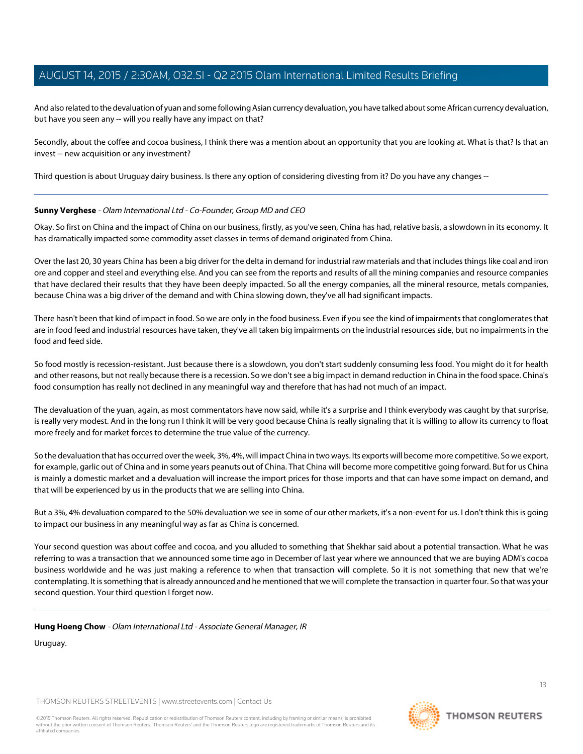And also related to the devaluation of yuan and some following Asian currency devaluation, you have talked about some African currency devaluation, but have you seen any -- will you really have any impact on that?

Secondly, about the coffee and cocoa business, I think there was a mention about an opportunity that you are looking at. What is that? Is that an invest -- new acquisition or any investment?

Third question is about Uruguay dairy business. Is there any option of considering divesting from it? Do you have any changes --

#### **Sunny Verghese** - Olam International Ltd - Co-Founder, Group MD and CEO

Okay. So first on China and the impact of China on our business, firstly, as you've seen, China has had, relative basis, a slowdown in its economy. It has dramatically impacted some commodity asset classes in terms of demand originated from China.

Over the last 20, 30 years China has been a big driver for the delta in demand for industrial raw materials and that includes things like coal and iron ore and copper and steel and everything else. And you can see from the reports and results of all the mining companies and resource companies that have declared their results that they have been deeply impacted. So all the energy companies, all the mineral resource, metals companies, because China was a big driver of the demand and with China slowing down, they've all had significant impacts.

There hasn't been that kind of impact in food. So we are only in the food business. Even if you see the kind of impairments that conglomerates that are in food feed and industrial resources have taken, they've all taken big impairments on the industrial resources side, but no impairments in the food and feed side.

So food mostly is recession-resistant. Just because there is a slowdown, you don't start suddenly consuming less food. You might do it for health and other reasons, but not really because there is a recession. So we don't see a big impact in demand reduction in China in the food space. China's food consumption has really not declined in any meaningful way and therefore that has had not much of an impact.

The devaluation of the yuan, again, as most commentators have now said, while it's a surprise and I think everybody was caught by that surprise, is really very modest. And in the long run I think it will be very good because China is really signaling that it is willing to allow its currency to float more freely and for market forces to determine the true value of the currency.

So the devaluation that has occurred over the week, 3%, 4%, will impact China in two ways. Its exports will become more competitive. So we export, for example, garlic out of China and in some years peanuts out of China. That China will become more competitive going forward. But for us China is mainly a domestic market and a devaluation will increase the import prices for those imports and that can have some impact on demand, and that will be experienced by us in the products that we are selling into China.

But a 3%, 4% devaluation compared to the 50% devaluation we see in some of our other markets, it's a non-event for us. I don't think this is going to impact our business in any meaningful way as far as China is concerned.

Your second question was about coffee and cocoa, and you alluded to something that Shekhar said about a potential transaction. What he was referring to was a transaction that we announced some time ago in December of last year where we announced that we are buying ADM's cocoa business worldwide and he was just making a reference to when that transaction will complete. So it is not something that new that we're contemplating. It is something that is already announced and he mentioned that we will complete the transaction in quarter four. So that was your second question. Your third question I forget now.

#### **Hung Hoeng Chow** - Olam International Ltd - Associate General Manager, IR

Uruguay.

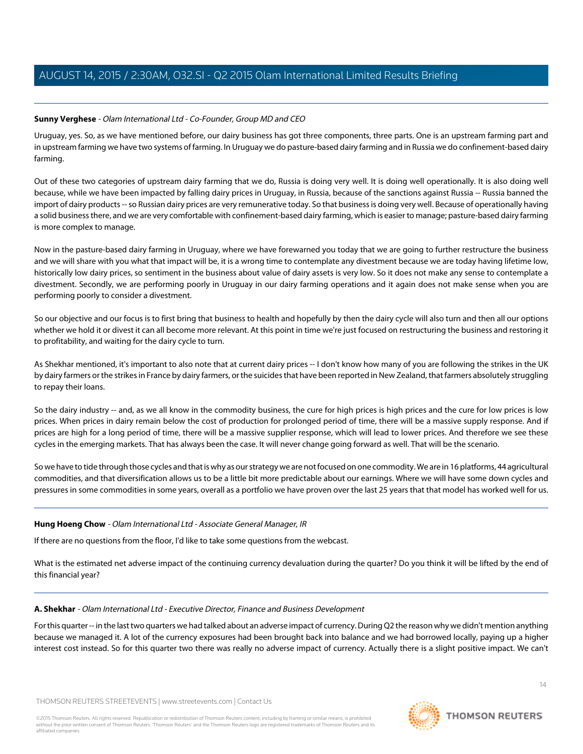# **Sunny Verghese** - Olam International Ltd - Co-Founder, Group MD and CEO

Uruguay, yes. So, as we have mentioned before, our dairy business has got three components, three parts. One is an upstream farming part and in upstream farming we have two systems of farming. In Uruguay we do pasture-based dairy farming and in Russia we do confinement-based dairy farming.

Out of these two categories of upstream dairy farming that we do, Russia is doing very well. It is doing well operationally. It is also doing well because, while we have been impacted by falling dairy prices in Uruguay, in Russia, because of the sanctions against Russia -- Russia banned the import of dairy products -- so Russian dairy prices are very remunerative today. So that business is doing very well. Because of operationally having a solid business there, and we are very comfortable with confinement-based dairy farming, which is easier to manage; pasture-based dairy farming is more complex to manage.

Now in the pasture-based dairy farming in Uruguay, where we have forewarned you today that we are going to further restructure the business and we will share with you what that impact will be, it is a wrong time to contemplate any divestment because we are today having lifetime low, historically low dairy prices, so sentiment in the business about value of dairy assets is very low. So it does not make any sense to contemplate a divestment. Secondly, we are performing poorly in Uruguay in our dairy farming operations and it again does not make sense when you are performing poorly to consider a divestment.

So our objective and our focus is to first bring that business to health and hopefully by then the dairy cycle will also turn and then all our options whether we hold it or divest it can all become more relevant. At this point in time we're just focused on restructuring the business and restoring it to profitability, and waiting for the dairy cycle to turn.

As Shekhar mentioned, it's important to also note that at current dairy prices -- I don't know how many of you are following the strikes in the UK by dairy farmers or the strikes in France by dairy farmers, or the suicides that have been reported in New Zealand, that farmers absolutely struggling to repay their loans.

So the dairy industry -- and, as we all know in the commodity business, the cure for high prices is high prices and the cure for low prices is low prices. When prices in dairy remain below the cost of production for prolonged period of time, there will be a massive supply response. And if prices are high for a long period of time, there will be a massive supplier response, which will lead to lower prices. And therefore we see these cycles in the emerging markets. That has always been the case. It will never change going forward as well. That will be the scenario.

So we have to tide through those cycles and that is why as our strategy we are not focused on one commodity. We are in 16 platforms, 44 agricultural commodities, and that diversification allows us to be a little bit more predictable about our earnings. Where we will have some down cycles and pressures in some commodities in some years, overall as a portfolio we have proven over the last 25 years that that model has worked well for us.

# **Hung Hoeng Chow** - Olam International Ltd - Associate General Manager, IR

If there are no questions from the floor, I'd like to take some questions from the webcast.

What is the estimated net adverse impact of the continuing currency devaluation during the quarter? Do you think it will be lifted by the end of this financial year?

# **A. Shekhar** - Olam International Ltd - Executive Director, Finance and Business Development

For this quarter -- in the last two quarters we had talked about an adverse impact of currency. During Q2 the reason why we didn't mention anything because we managed it. A lot of the currency exposures had been brought back into balance and we had borrowed locally, paying up a higher interest cost instead. So for this quarter two there was really no adverse impact of currency. Actually there is a slight positive impact. We can't

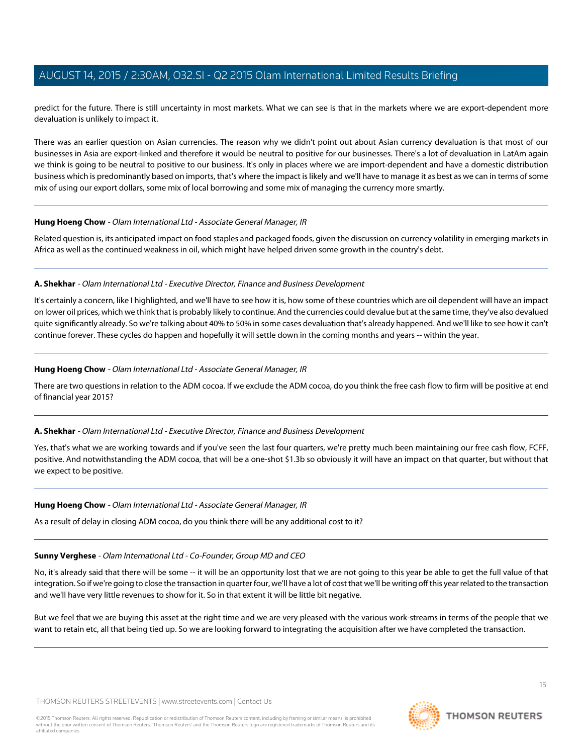predict for the future. There is still uncertainty in most markets. What we can see is that in the markets where we are export-dependent more devaluation is unlikely to impact it.

There was an earlier question on Asian currencies. The reason why we didn't point out about Asian currency devaluation is that most of our businesses in Asia are export-linked and therefore it would be neutral to positive for our businesses. There's a lot of devaluation in LatAm again we think is going to be neutral to positive to our business. It's only in places where we are import-dependent and have a domestic distribution business which is predominantly based on imports, that's where the impact is likely and we'll have to manage it as best as we can in terms of some mix of using our export dollars, some mix of local borrowing and some mix of managing the currency more smartly.

#### **Hung Hoeng Chow** - Olam International Ltd - Associate General Manager, IR

Related question is, its anticipated impact on food staples and packaged foods, given the discussion on currency volatility in emerging markets in Africa as well as the continued weakness in oil, which might have helped driven some growth in the country's debt.

#### **A. Shekhar** - Olam International Ltd - Executive Director, Finance and Business Development

It's certainly a concern, like I highlighted, and we'll have to see how it is, how some of these countries which are oil dependent will have an impact on lower oil prices, which we think that is probably likely to continue. And the currencies could devalue but at the same time, they've also devalued quite significantly already. So we're talking about 40% to 50% in some cases devaluation that's already happened. And we'll like to see how it can't continue forever. These cycles do happen and hopefully it will settle down in the coming months and years -- within the year.

# **Hung Hoeng Chow** - Olam International Ltd - Associate General Manager, IR

There are two questions in relation to the ADM cocoa. If we exclude the ADM cocoa, do you think the free cash flow to firm will be positive at end of financial year 2015?

# **A. Shekhar** - Olam International Ltd - Executive Director, Finance and Business Development

Yes, that's what we are working towards and if you've seen the last four quarters, we're pretty much been maintaining our free cash flow, FCFF, positive. And notwithstanding the ADM cocoa, that will be a one-shot \$1.3b so obviously it will have an impact on that quarter, but without that we expect to be positive.

#### **Hung Hoeng Chow** - Olam International Ltd - Associate General Manager, IR

As a result of delay in closing ADM cocoa, do you think there will be any additional cost to it?

# **Sunny Verghese** - Olam International Ltd - Co-Founder, Group MD and CEO

No, it's already said that there will be some -- it will be an opportunity lost that we are not going to this year be able to get the full value of that integration. So if we're going to close the transaction in quarter four, we'll have a lot of cost that we'll be writing off this year related to the transaction and we'll have very little revenues to show for it. So in that extent it will be little bit negative.

But we feel that we are buying this asset at the right time and we are very pleased with the various work-streams in terms of the people that we want to retain etc, all that being tied up. So we are looking forward to integrating the acquisition after we have completed the transaction.

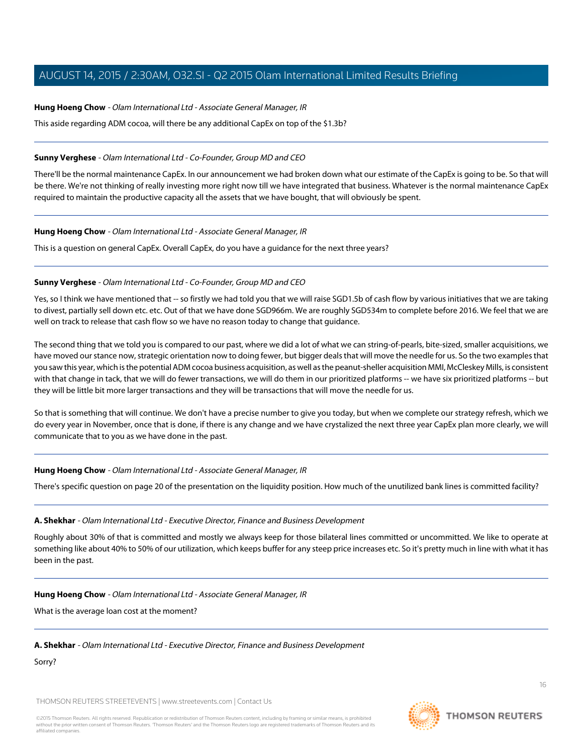#### **Hung Hoeng Chow** - Olam International Ltd - Associate General Manager, IR

This aside regarding ADM cocoa, will there be any additional CapEx on top of the \$1.3b?

#### **Sunny Verghese** - Olam International Ltd - Co-Founder, Group MD and CEO

There'll be the normal maintenance CapEx. In our announcement we had broken down what our estimate of the CapEx is going to be. So that will be there. We're not thinking of really investing more right now till we have integrated that business. Whatever is the normal maintenance CapEx required to maintain the productive capacity all the assets that we have bought, that will obviously be spent.

#### **Hung Hoeng Chow** - Olam International Ltd - Associate General Manager, IR

This is a question on general CapEx. Overall CapEx, do you have a guidance for the next three years?

#### **Sunny Verghese** - Olam International Ltd - Co-Founder, Group MD and CEO

Yes, so I think we have mentioned that -- so firstly we had told you that we will raise SGD1.5b of cash flow by various initiatives that we are taking to divest, partially sell down etc. etc. Out of that we have done SGD966m. We are roughly SGD534m to complete before 2016. We feel that we are well on track to release that cash flow so we have no reason today to change that guidance.

The second thing that we told you is compared to our past, where we did a lot of what we can string-of-pearls, bite-sized, smaller acquisitions, we have moved our stance now, strategic orientation now to doing fewer, but bigger deals that will move the needle for us. So the two examples that you saw this year, which is the potential ADM cocoa business acquisition, as well as the peanut-sheller acquisition MMI, McCleskey Mills, is consistent with that change in tack, that we will do fewer transactions, we will do them in our prioritized platforms -- we have six prioritized platforms -- but they will be little bit more larger transactions and they will be transactions that will move the needle for us.

So that is something that will continue. We don't have a precise number to give you today, but when we complete our strategy refresh, which we do every year in November, once that is done, if there is any change and we have crystalized the next three year CapEx plan more clearly, we will communicate that to you as we have done in the past.

#### **Hung Hoeng Chow** - Olam International Ltd - Associate General Manager, IR

There's specific question on page 20 of the presentation on the liquidity position. How much of the unutilized bank lines is committed facility?

# **A. Shekhar** - Olam International Ltd - Executive Director, Finance and Business Development

Roughly about 30% of that is committed and mostly we always keep for those bilateral lines committed or uncommitted. We like to operate at something like about 40% to 50% of our utilization, which keeps buffer for any steep price increases etc. So it's pretty much in line with what it has been in the past.

# **Hung Hoeng Chow** - Olam International Ltd - Associate General Manager, IR

What is the average loan cost at the moment?

#### **A. Shekhar** - Olam International Ltd - Executive Director, Finance and Business Development

Sorry?

THOMSON REUTERS STREETEVENTS | [www.streetevents.com](http://www.streetevents.com) | [Contact Us](http://www010.streetevents.com/contact.asp)

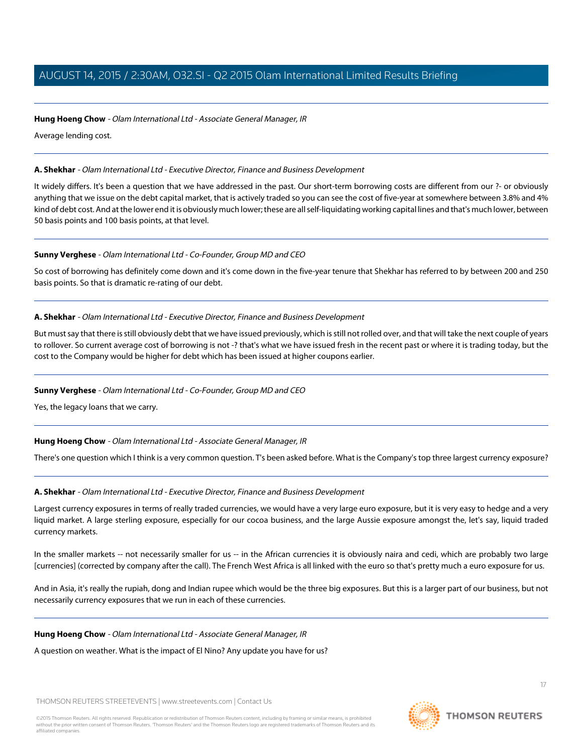#### **Hung Hoeng Chow** - Olam International Ltd - Associate General Manager, IR

Average lending cost.

#### **A. Shekhar** - Olam International Ltd - Executive Director, Finance and Business Development

It widely differs. It's been a question that we have addressed in the past. Our short-term borrowing costs are different from our ?- or obviously anything that we issue on the debt capital market, that is actively traded so you can see the cost of five-year at somewhere between 3.8% and 4% kind of debt cost. And at the lower end it is obviously much lower; these are all self-liquidating working capital lines and that's much lower, between 50 basis points and 100 basis points, at that level.

#### **Sunny Verghese** - Olam International Ltd - Co-Founder, Group MD and CEO

So cost of borrowing has definitely come down and it's come down in the five-year tenure that Shekhar has referred to by between 200 and 250 basis points. So that is dramatic re-rating of our debt.

# **A. Shekhar** - Olam International Ltd - Executive Director, Finance and Business Development

But must say that there is still obviously debt that we have issued previously, which is still not rolled over, and that will take the next couple of years to rollover. So current average cost of borrowing is not -? that's what we have issued fresh in the recent past or where it is trading today, but the cost to the Company would be higher for debt which has been issued at higher coupons earlier.

# **Sunny Verghese** - Olam International Ltd - Co-Founder, Group MD and CEO

Yes, the legacy loans that we carry.

# **Hung Hoeng Chow** - Olam International Ltd - Associate General Manager, IR

There's one question which I think is a very common question. T's been asked before. What is the Company's top three largest currency exposure?

# **A. Shekhar** - Olam International Ltd - Executive Director, Finance and Business Development

Largest currency exposures in terms of really traded currencies, we would have a very large euro exposure, but it is very easy to hedge and a very liquid market. A large sterling exposure, especially for our cocoa business, and the large Aussie exposure amongst the, let's say, liquid traded currency markets.

In the smaller markets -- not necessarily smaller for us -- in the African currencies it is obviously naira and cedi, which are probably two large [currencies] (corrected by company after the call). The French West Africa is all linked with the euro so that's pretty much a euro exposure for us.

And in Asia, it's really the rupiah, dong and Indian rupee which would be the three big exposures. But this is a larger part of our business, but not necessarily currency exposures that we run in each of these currencies.

#### **Hung Hoeng Chow** - Olam International Ltd - Associate General Manager, IR

A question on weather. What is the impact of El Nino? Any update you have for us?

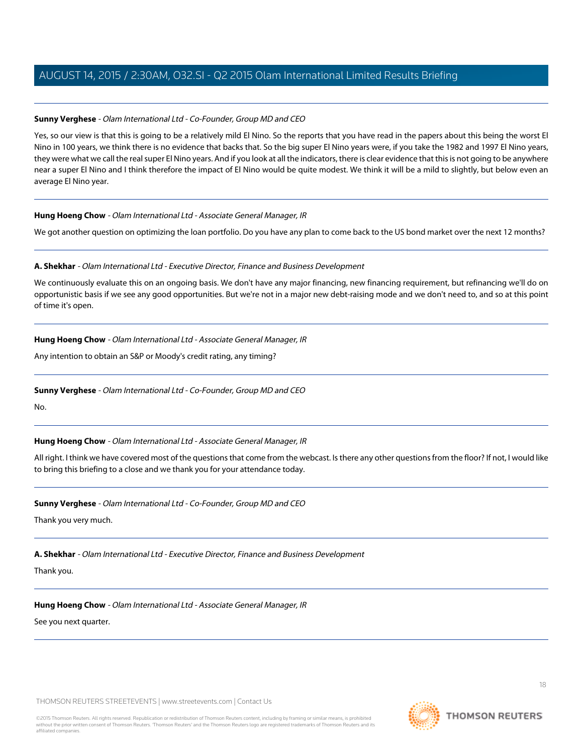# **Sunny Verghese** - Olam International Ltd - Co-Founder, Group MD and CEO

Yes, so our view is that this is going to be a relatively mild El Nino. So the reports that you have read in the papers about this being the worst El Nino in 100 years, we think there is no evidence that backs that. So the big super El Nino years were, if you take the 1982 and 1997 El Nino years, they were what we call the real super El Nino years. And if you look at all the indicators, there is clear evidence that this is not going to be anywhere near a super El Nino and I think therefore the impact of El Nino would be quite modest. We think it will be a mild to slightly, but below even an average El Nino year.

# **Hung Hoeng Chow** - Olam International Ltd - Associate General Manager, IR

We got another question on optimizing the loan portfolio. Do you have any plan to come back to the US bond market over the next 12 months?

# **A. Shekhar** - Olam International Ltd - Executive Director, Finance and Business Development

We continuously evaluate this on an ongoing basis. We don't have any major financing, new financing requirement, but refinancing we'll do on opportunistic basis if we see any good opportunities. But we're not in a major new debt-raising mode and we don't need to, and so at this point of time it's open.

# **Hung Hoeng Chow** - Olam International Ltd - Associate General Manager, IR

Any intention to obtain an S&P or Moody's credit rating, any timing?

# **Sunny Verghese** - Olam International Ltd - Co-Founder, Group MD and CEO

No.

# **Hung Hoeng Chow** - Olam International Ltd - Associate General Manager, IR

All right. I think we have covered most of the questions that come from the webcast. Is there any other questions from the floor? If not, I would like to bring this briefing to a close and we thank you for your attendance today.

# **Sunny Verghese** - Olam International Ltd - Co-Founder, Group MD and CEO

Thank you very much.

# **A. Shekhar** - Olam International Ltd - Executive Director, Finance and Business Development

# Thank you.

# **Hung Hoeng Chow** - Olam International Ltd - Associate General Manager, IR

See you next quarter.